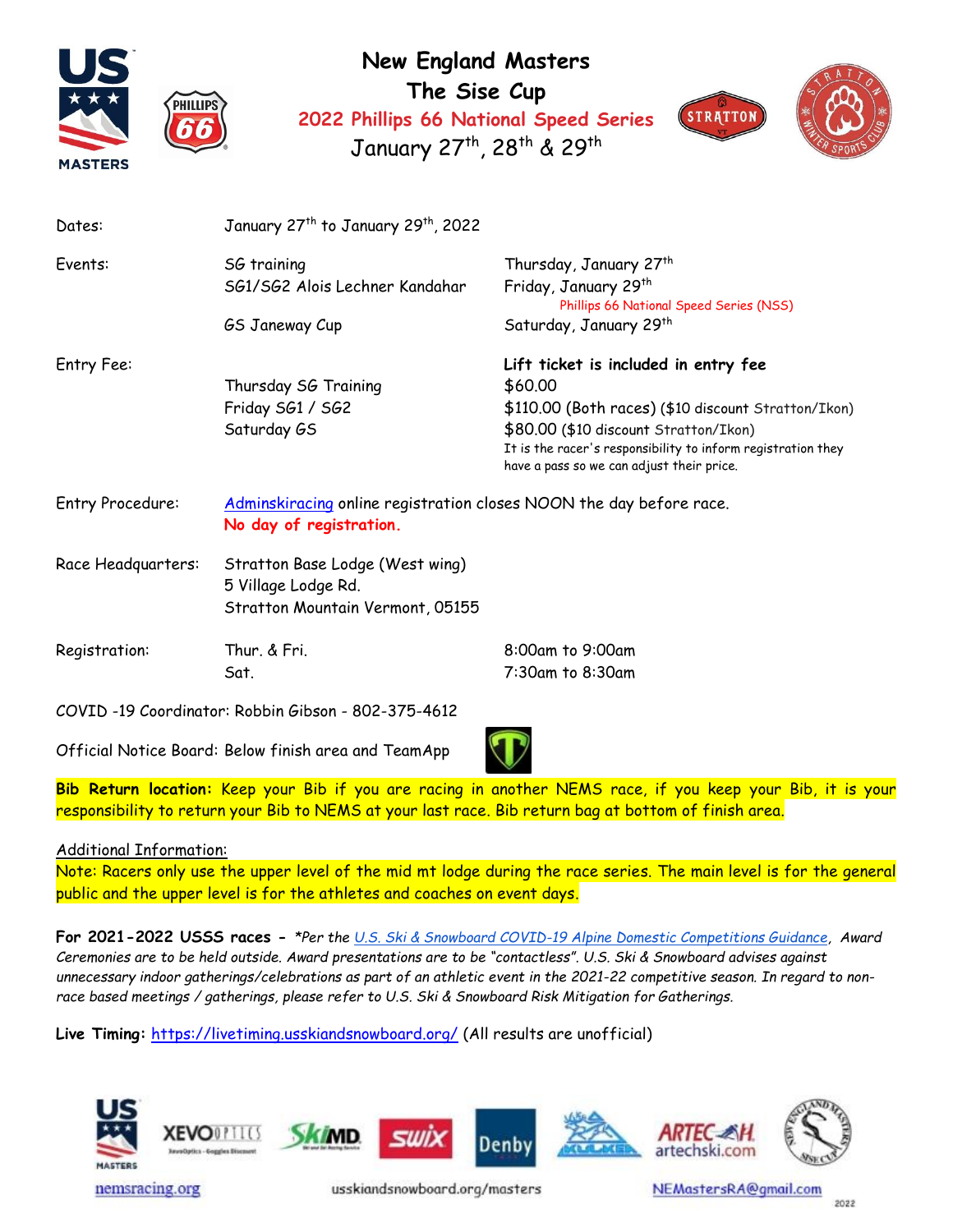

**New England Masters The Sise Cup 2022 Phillips 66 National Speed Series** January 27<sup>th</sup>, 28<sup>th</sup> & 29<sup>th</sup>



| Dates:             | January 27 <sup>th</sup> to January 29 <sup>th</sup> , 2022                                    |                                                                                                                                                                                                                                                              |  |
|--------------------|------------------------------------------------------------------------------------------------|--------------------------------------------------------------------------------------------------------------------------------------------------------------------------------------------------------------------------------------------------------------|--|
| Events:            | SG training<br>SG1/SG2 Alois Lechner Kandahar<br>GS Janeway Cup                                | Thursday, January 27 <sup>th</sup><br>Friday, January 29th<br>Phillips 66 National Speed Series (NSS)<br>Saturday, January 29 <sup>th</sup>                                                                                                                  |  |
| Entry Fee:         | Thursday SG Training<br>Friday SG1 / SG2<br>Saturday GS                                        | Lift ticket is included in entry fee<br>\$60.00<br>\$110.00 (Both races) (\$10 discount Stratton/Ikon)<br>\$80.00 (\$10 discount Stratton/Ikon)<br>It is the racer's responsibility to inform registration they<br>have a pass so we can adjust their price. |  |
| Entry Procedure:   | Adminskiracing online registration closes NOON the day before race.<br>No day of registration. |                                                                                                                                                                                                                                                              |  |
| Race Headquarters: | Stratton Base Lodge (West wing)<br>5 Village Lodge Rd.<br>Stratton Mountain Vermont, 05155     |                                                                                                                                                                                                                                                              |  |
| Registration:      | Thur. & Fri.<br>Sat.                                                                           | 8:00am to 9:00am<br>7:30am to 8:30am                                                                                                                                                                                                                         |  |

COVID -19 Coordinator: Robbin Gibson - 802-375-4612

Official Notice Board: Below finish area and TeamApp

**Bib Return location:** Keep your Bib if you are racing in another NEMS race, if you keep your Bib, it is your responsibility to return your Bib to NEMS at your last race. Bib return bag at bottom of finish area.

## Additional Information:

Note: Racers only use the upper level of the mid mt lodge during the race series. The main level is for the general public and the upper level is for the athletes and coaches on event days.

**For 2021-2022 USSS races -** *\*Per the [U.S. Ski & Snowboard COVID-19 Alpine Domestic Competitions Guidance,](https://usskiandsnowboard.org/sites/default/files/files-resources/files/2021/2021-22%20U.S.%20Ski%20%26%20Snowboard%20Alpine%20Competitions%20Guidance.pdf) Award Ceremonies are to be held outside. Award presentations are to be "contactless". U.S. Ski & Snowboard advises against unnecessary indoor gatherings/celebrations as part of an athletic event in the 2021-22 competitive season. In regard to nonrace based meetings / gatherings, please refer to U.S. Ski & Snowboard Risk Mitigation for Gatherings.* 

**Live Timing:** <https://livetiming.usskiandsnowboard.org/> (All results are unofficial)



nemsracing.org

usskiandsnowboard.org/masters

NEMastersRA@gmail.com